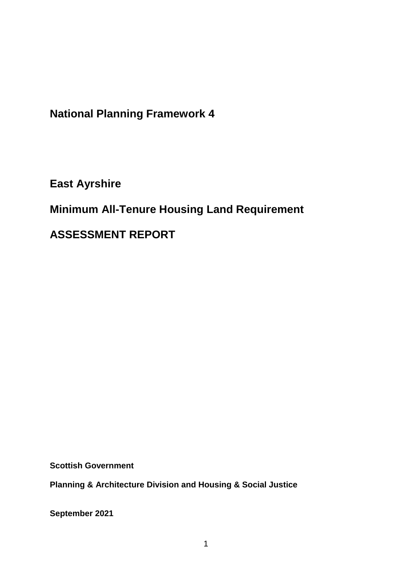**National Planning Framework 4**

**East Ayrshire**

**Minimum All-Tenure Housing Land Requirement** 

**ASSESSMENT REPORT**

**Scottish Government**

**Planning & Architecture Division and Housing & Social Justice** 

**September 2021**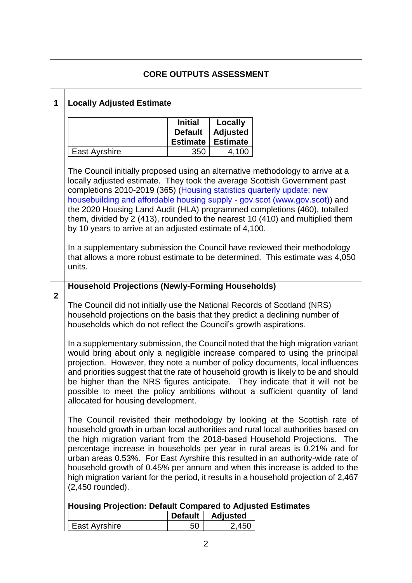### **CORE OUTPUTS ASSESSMENT**

### **1 Locally Adjusted Estimate**

|               | <b>Initial</b><br><b>Default</b><br><b>Estimate   Estimate</b> | Locally<br><b>Adjusted</b> |
|---------------|----------------------------------------------------------------|----------------------------|
| East Ayrshire | 350                                                            | 4.100                      |

The Council initially proposed using an alternative methodology to arrive at a locally adjusted estimate. They took the average Scottish Government past completions 2010-2019 (365) [\(Housing statistics quarterly update: new](https://www.gov.scot/publications/housing-statistics-for-scotland-new-house-building/)  [housebuilding and affordable housing supply -](https://www.gov.scot/publications/housing-statistics-for-scotland-new-house-building/) gov.scot (www.gov.scot)) and the 2020 Housing Land Audit (HLA) programmed completions (460), totalled them, divided by 2 (413), rounded to the nearest 10 (410) and multiplied them by 10 years to arrive at an adjusted estimate of 4,100.

In a supplementary submission the Council have reviewed their methodology that allows a more robust estimate to be determined. This estimate was 4,050 units.

**2**

#### **Household Projections (Newly-Forming Households)**

The Council did not initially use the National Records of Scotland (NRS) household projections on the basis that they predict a declining number of households which do not reflect the Council's growth aspirations.

In a supplementary submission, the Council noted that the high migration variant would bring about only a negligible increase compared to using the principal projection. However, they note a number of policy documents, local influences and priorities suggest that the rate of household growth is likely to be and should be higher than the NRS figures anticipate. They indicate that it will not be possible to meet the policy ambitions without a sufficient quantity of land allocated for housing development.

The Council revisited their methodology by looking at the Scottish rate of household growth in urban local authorities and rural local authorities based on the high migration variant from the 2018-based Household Projections. The percentage increase in households per year in rural areas is 0.21% and for urban areas 0.53%. For East Ayrshire this resulted in an authority-wide rate of household growth of 0.45% per annum and when this increase is added to the high migration variant for the period, it results in a household projection of 2,467 (2,450 rounded).

#### **Housing Projection: Default Compared to Adjusted Estimates**

|               | <b>Default</b> | <b>Adjusted</b> |
|---------------|----------------|-----------------|
| East Ayrshire | 50             | 450             |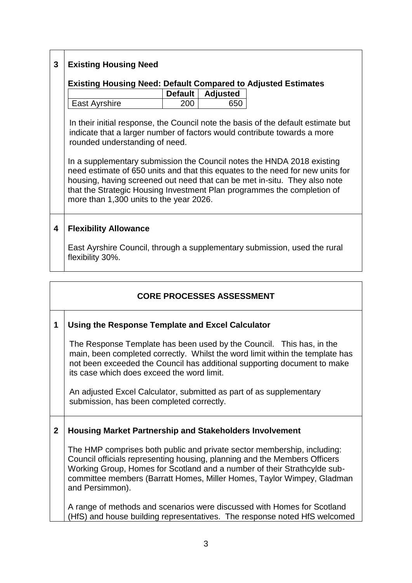## **3 Existing Housing Need**

# **Existing Housing Need: Default Compared to Adjusted Estimates**

|                 |     | Default   Adjusted |
|-----------------|-----|--------------------|
| l East Avrshire | ንበበ | 65C                |

In their initial response, the Council note the basis of the default estimate but indicate that a larger number of factors would contribute towards a more rounded understanding of need.

In a supplementary submission the Council notes the HNDA 2018 existing need estimate of 650 units and that this equates to the need for new units for housing, having screened out need that can be met in-situ. They also note that the Strategic Housing Investment Plan programmes the completion of more than 1,300 units to the year 2026.

### **4 Flexibility Allowance**

East Ayrshire Council, through a supplementary submission, used the rural flexibility 30%.

## **CORE PROCESSES ASSESSMENT**

### **1 Using the Response Template and Excel Calculator**

The Response Template has been used by the Council. This has, in the main, been completed correctly. Whilst the word limit within the template has not been exceeded the Council has additional supporting document to make its case which does exceed the word limit.

An adjusted Excel Calculator, submitted as part of as supplementary submission, has been completed correctly.

### **2 Housing Market Partnership and Stakeholders Involvement**

The HMP comprises both public and private sector membership, including: Council officials representing housing, planning and the Members Officers Working Group, Homes for Scotland and a number of their Strathcylde subcommittee members (Barratt Homes, Miller Homes, Taylor Wimpey, Gladman and Persimmon).

A range of methods and scenarios were discussed with Homes for Scotland (HfS) and house building representatives. The response noted HfS welcomed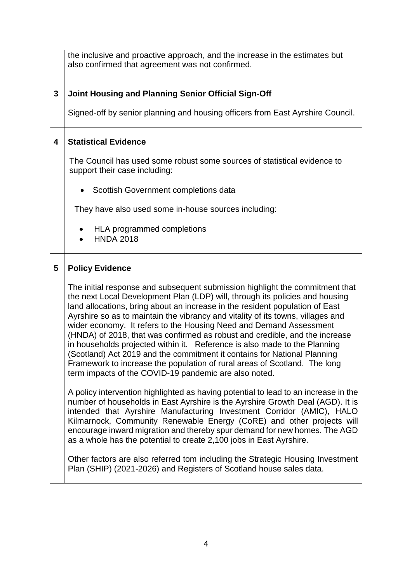the inclusive and proactive approach, and the increase in the estimates but also confirmed that agreement was not confirmed.

### **3 Joint Housing and Planning Senior Official Sign-Off**

Signed-off by senior planning and housing officers from East Ayrshire Council.

### **4 Statistical Evidence**

The Council has used some robust some sources of statistical evidence to support their case including:

• Scottish Government completions data

They have also used some in-house sources including:

- HLA programmed completions
- HNDA 2018

#### **5 Policy Evidence**

The initial response and subsequent submission highlight the commitment that the next Local Development Plan (LDP) will, through its policies and housing land allocations, bring about an increase in the resident population of East Ayrshire so as to maintain the vibrancy and vitality of its towns, villages and wider economy. It refers to the Housing Need and Demand Assessment (HNDA) of 2018, that was confirmed as robust and credible, and the increase in households projected within it. Reference is also made to the Planning (Scotland) Act 2019 and the commitment it contains for National Planning Framework to increase the population of rural areas of Scotland. The long term impacts of the COVID-19 pandemic are also noted.

A policy intervention highlighted as having potential to lead to an increase in the number of households in East Ayrshire is the Ayrshire Growth Deal (AGD). It is intended that Ayrshire Manufacturing Investment Corridor (AMIC), HALO Kilmarnock, Community Renewable Energy (CoRE) and other projects will encourage inward migration and thereby spur demand for new homes. The AGD as a whole has the potential to create 2,100 jobs in East Ayrshire.

Other factors are also referred tom including the Strategic Housing Investment Plan (SHIP) (2021-2026) and Registers of Scotland house sales data.